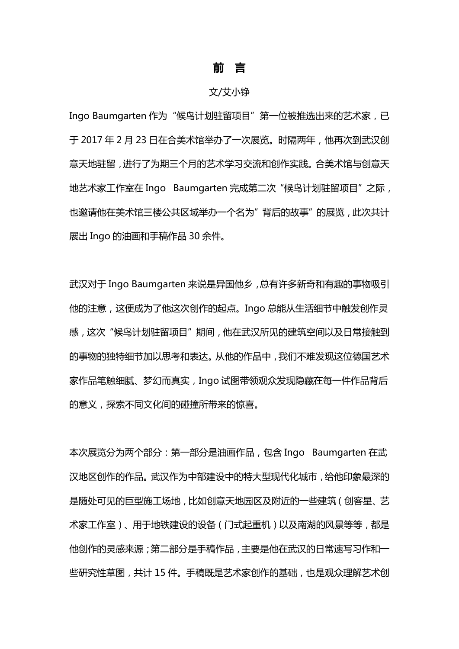## **前 言**

## 文/艾小铮

Ingo Baumgarten 作为"候鸟计划驻留项目"第一位被推选出来的艺术家,已 于 2017 年 2 月 23 日在合美术馆举办了一次展览。时隔两年,他再次到武汉创 意天地驻留,进行了为期三个月的艺术学习交流和创作实践。合美术馆与创意天 地艺术家工作室在 Ingo Baumgarten 完成第二次"候鸟计划驻留项目"之际, 也邀请他在美术馆三楼公共区域举办一个名为"背后的故事"的展览,此次共计 展出 Ingo 的油画和手稿作品 30 余件。

武汉对于 Ingo Baumgarten 来说是异国他乡,总有许多新奇和有趣的事物吸引 他的注意,这便成为了他这次创作的起点。Ingo 总能从生活细节中触发创作灵 感,这次"候鸟计划驻留项目"期间,他在武汉所见的建筑空间以及日常接触到 的事物的独特细节加以思考和表达。从他的作品中,我们不难发现这位德国艺术 家作品笔触细腻、梦幻而真实,Ingo 试图带领观众发现隐藏在每一件作品背后 的意义,探索不同文化间的碰撞所带来的惊喜。

本次展览分为两个部分:第一部分是油画作品,包含 Ingo Baumgarten 在武 汉地区创作的作品。武汉作为中部建设中的特大型现代化城市,给他印象最深的 是随处可见的巨型施工场地,比如创意天地园区及附近的一些建筑(创客星、艺 木家工作室)、用于地铁建设的设备(门式起重机)以及南湖的风景等等,都是 他创作的灵感来源;第二部分是手稿作品,主要是他在武汉的日常速写习作和一 些研究性草图,共计 15 件。手稿既是艺术家创作的基础,也是观众理解艺术创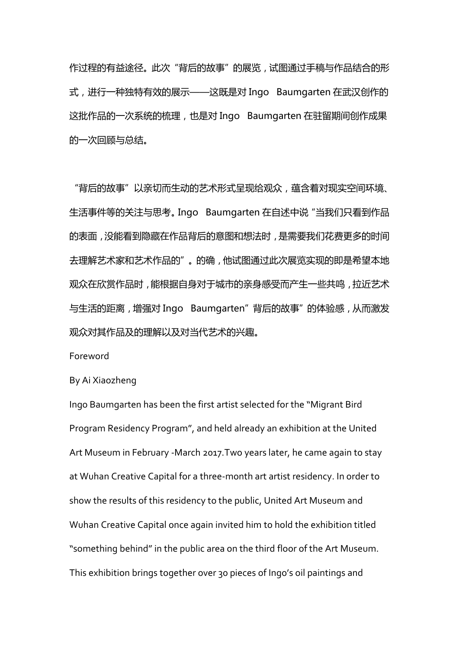作过程的有益途径。此次"背后的故事"的展览,试图通过手稿与作品结合的形 式,进行一种独特有效的展示——这既是对 Ingo Baumgarten 在武汉创作的 这批作品的一次系统的梳理,也是对 Ingo Baumgarten 在驻留期间创作成果 的一次回顾与总结。

"背后的故事"以亲切而生动的艺术形式呈现给观众,蕴含着对现实空间环境、 生活事件等的关注与思考。Ingo Baumgarten 在自述中说"当我们只看到作品 的表面,没能看到隐藏在作品背后的意图和想法时,是需要我们花费更多的时间 去理解艺术家和艺术作品的"。的确,他试图通过此次展览实现的即是希望本地 观众在欣赏作品时,能根据自身对于城市的亲身感受而产生一些共鸣,拉近艺术 与生活的距离,增强对 Ingo Baumgarten"背后的故事"的体验感,从而激发 观众对其作品及的理解以及对当代艺术的兴趣。

Foreword

By Ai Xiaozheng

Ingo Baumgarten has been the first artist selected for the "Migrant Bird Program Residency Program", and held already an exhibition at the United Art Museum in February -March 2017.Two years later, he came again to stay at Wuhan Creative Capital for a three-month art artist residency. In order to show the results of this residency to the public, United Art Museum and Wuhan Creative Capital once again invited him to hold the exhibition titled "something behind" in the public area on the third floor of the Art Museum. This exhibition brings together over 30 pieces of Ingo's oil paintings and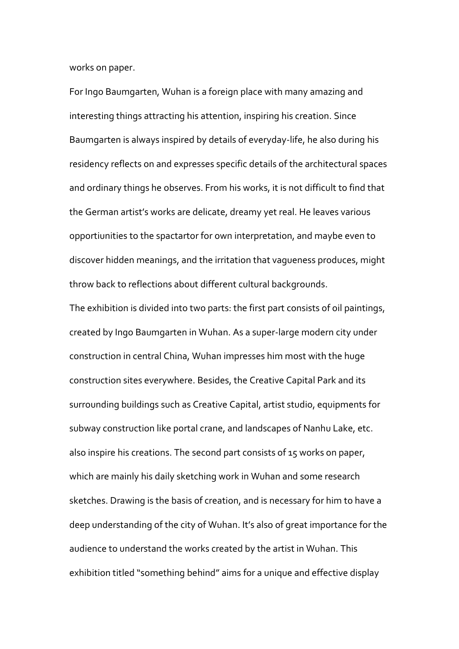works on paper.

For Ingo Baumgarten, Wuhan is a foreign place with many amazing and interesting things attracting his attention, inspiring his creation. Since Baumgarten is always inspired by details of everyday-life, he also during his residency reflects on and expresses specific details of the architectural spaces and ordinary things he observes. From his works, it is not difficult to find that the German artist's works are delicate, dreamy yet real. He leaves various opportiunities to the spactartor for own interpretation, and maybe even to discover hidden meanings, and the irritation that vagueness produces, might throw back to reflections about different cultural backgrounds.

The exhibition is divided into two parts: the first part consists of oil paintings, created by Ingo Baumgarten in Wuhan. As a super-large modern city under construction in central China, Wuhan impresses him most with the huge construction sites everywhere. Besides, the Creative Capital Park and its surrounding buildings such as Creative Capital, artist studio, equipments for subway construction like portal crane, and landscapes of Nanhu Lake, etc. also inspire his creations. The second part consists of 15 works on paper, which are mainly his daily sketching work in Wuhan and some research sketches. Drawing is the basis of creation, and is necessary for him to have a deep understanding of the city of Wuhan. It's also of great importance for the audience to understand the works created by the artist in Wuhan. This exhibition titled "something behind" aims for a unique and effective display